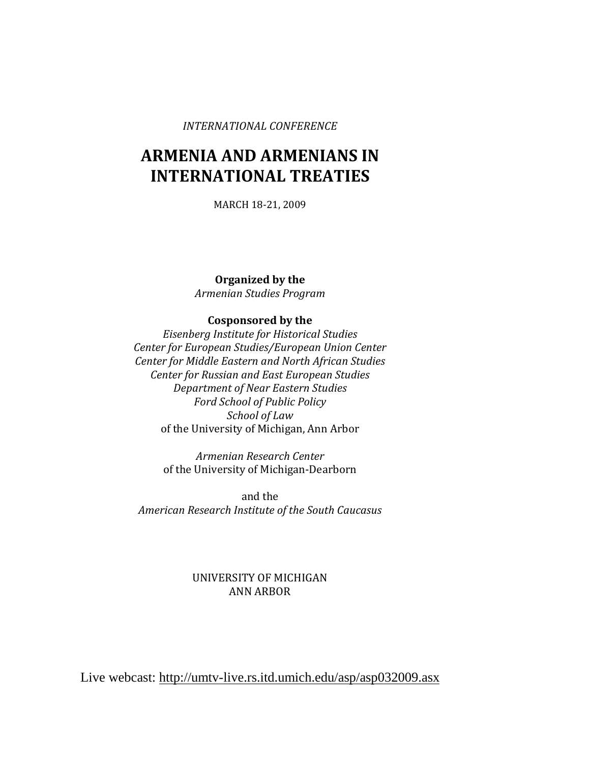#### *INTERNATIONAL CONFERENCE*

# **ARMENIA AND ARMENIANS IN INTERNATIONAL TREATIES**

MARCH 18-21, 2009

**Organized by the** *Armenian Studies Program*

#### **Cosponsored by the**

*Eisenberg Institute for Historical Studies Center for European Studies/European Union Center Center for Middle Eastern and North African Studies Center for Russian and East European Studies Department of Near Eastern Studies Ford School of Public Policy School of Law* of the University of Michigan, Ann Arbor

> *Armenian Research Center* of the University of Michigan-Dearborn

and the *American Research Institute of the South Caucasus*

### UNIVERSITY OF MICHIGAN ANN ARBOR

Live webcast:<http://umtv-live.rs.itd.umich.edu/asp/asp032009.asx>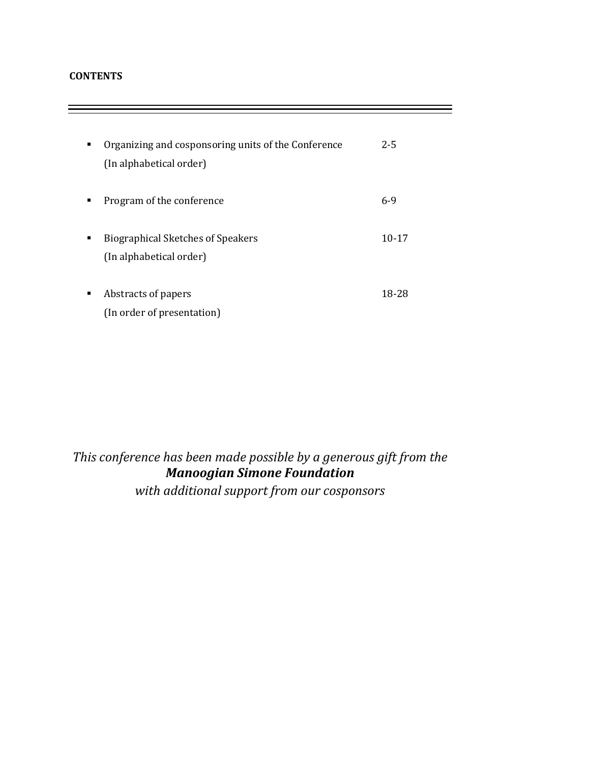### **CONTENTS**

| ٠ | Organizing and cosponsoring units of the Conference<br>(In alphabetical order) | $2 - 5$   |
|---|--------------------------------------------------------------------------------|-----------|
| ▪ | Program of the conference                                                      | $6-9$     |
| ٠ | <b>Biographical Sketches of Speakers</b><br>(In alphabetical order)            | $10 - 17$ |
| ٠ | Abstracts of papers<br>(In order of presentation)                              | 18-28     |

# *This conference has been made possible by a generous gift from the Manoogian Simone Foundation with additional support from our cosponsors*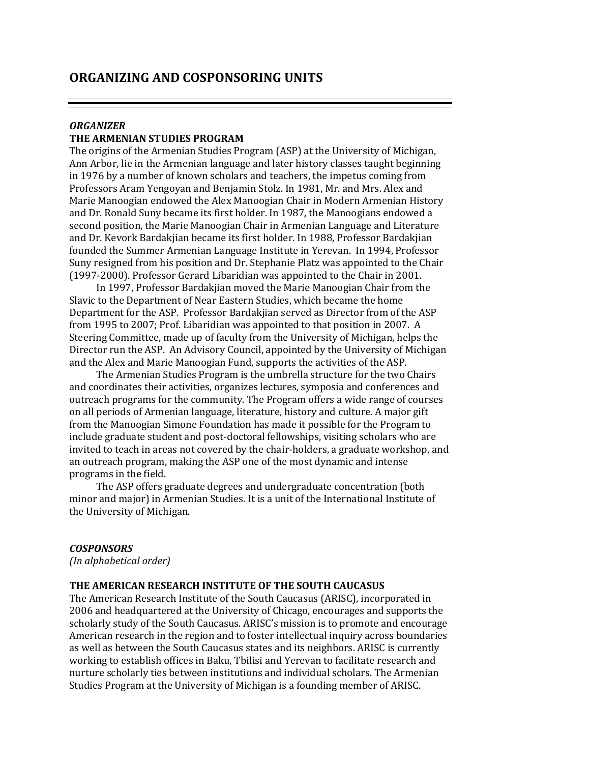### *ORGANIZER* **THE ARMENIAN STUDIES PROGRAM**

The origins of the Armenian Studies Program (ASP) at the University of Michigan, Ann Arbor, lie in the Armenian language and later history classes taught beginning in 1976 by a number of known scholars and teachers, the impetus coming from Professors Aram Yengoyan and Benjamin Stolz. In 1981, Mr. and Mrs. Alex and Marie Manoogian endowed the Alex Manoogian Chair in Modern Armenian History and Dr. Ronald Suny became its first holder. In 1987, the Manoogians endowed a second position, the Marie Manoogian Chair in Armenian Language and Literature and Dr. Kevork Bardakjian became its first holder. In 1988, Professor Bardakjian founded the Summer Armenian Language Institute in Yerevan. In 1994, Professor Suny resigned from his position and Dr. Stephanie Platz was appointed to the Chair (1997-2000). Professor Gerard Libaridian was appointed to the Chair in 2001.

In 1997, Professor Bardakjian moved the Marie Manoogian Chair from the Slavic to the Department of Near Eastern Studies, which became the home Department for the ASP. Professor Bardakjian served as Director from of the ASP from 1995 to 2007; Prof. Libaridian was appointed to that position in 2007. A Steering Committee, made up of faculty from the University of Michigan, helps the Director run the ASP. An Advisory Council, appointed by the University of Michigan and the Alex and Marie Manoogian Fund, supports the activities of the ASP.

The Armenian Studies Program is the umbrella structure for the two Chairs and coordinates their activities, organizes lectures, symposia and conferences and outreach programs for the community. The Program offers a wide range of courses on all periods of Armenian language, literature, history and culture. A major gift from the Manoogian Simone Foundation has made it possible for the Program to include graduate student and post-doctoral fellowships, visiting scholars who are invited to teach in areas not covered by the chair-holders, a graduate workshop, and an outreach program, making the ASP one of the most dynamic and intense programs in the field.

The ASP offers graduate degrees and undergraduate concentration (both minor and major) in Armenian Studies. It is a unit of the International Institute of the University of Michigan.

#### *COSPONSORS*

*(In alphabetical order)*

#### **THE AMERICAN RESEARCH INSTITUTE OF THE SOUTH CAUCASUS**

The American Research Institute of the South Caucasus (ARISC), incorporated in 2006 and headquartered at the University of Chicago, encourages and supports the scholarly study of the South Caucasus. ARISC's mission is to promote and encourage American research in the region and to foster intellectual inquiry across boundaries as well as between the South Caucasus states and its neighbors. ARISC is currently working to establish offices in Baku, Tbilisi and Yerevan to facilitate research and nurture scholarly ties between institutions and individual scholars. The Armenian Studies Program at the University of Michigan is a founding member of ARISC.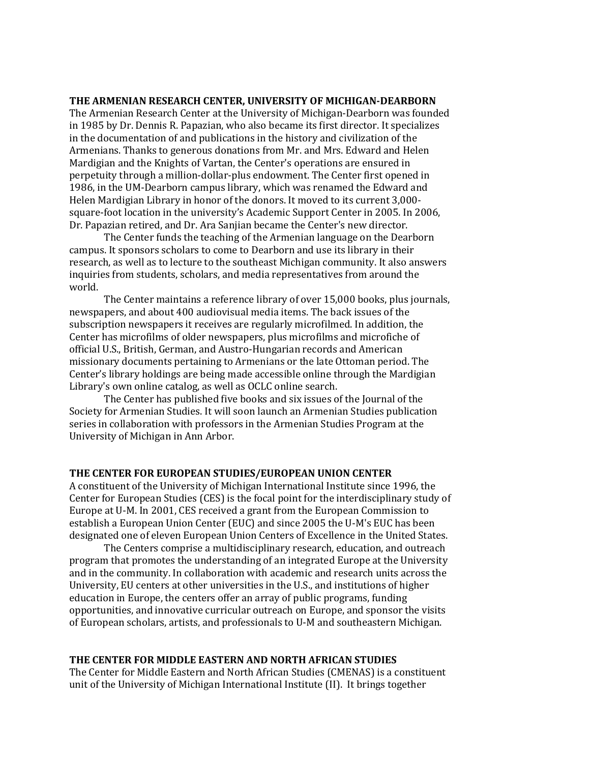#### **THE ARMENIAN RESEARCH CENTER, UNIVERSITY OF MICHIGAN-DEARBORN**

The Armenian Research Center at the University of Michigan-Dearborn was founded in 1985 by Dr. Dennis R. Papazian, who also became its first director. It specializes in the documentation of and publications in the history and civilization of the Armenians. Thanks to generous donations from Mr. and Mrs. Edward and Helen Mardigian and the Knights of Vartan, the Center's operations are ensured in perpetuity through a million-dollar-plus endowment. The Center first opened in 1986, in the UM-Dearborn campus library, which was renamed the Edward and Helen Mardigian Library in honor of the donors. It moved to its current 3,000 square-foot location in the university's Academic Support Center in 2005. In 2006, Dr. Papazian retired, and Dr. Ara Sanjian became the Center's new director.

The Center funds the teaching of the Armenian language on the Dearborn campus. It sponsors scholars to come to Dearborn and use its library in their research, as well as to lecture to the southeast Michigan community. It also answers inquiries from students, scholars, and media representatives from around the world.

The Center maintains a reference library of over 15,000 books, plus journals, newspapers, and about 400 audiovisual media items. The back issues of the subscription newspapers it receives are regularly microfilmed. In addition, the Center has microfilms of older newspapers, plus microfilms and microfiche of official U.S., British, German, and Austro-Hungarian records and American missionary documents pertaining to Armenians or the late Ottoman period. The Center's library holdings are being made accessible online through the Mardigian Library's own online catalog, as well as OCLC online search.

The Center has published five books and six issues of the Journal of the Society for Armenian Studies. It will soon launch an Armenian Studies publication series in collaboration with professors in the Armenian Studies Program at the University of Michigan in Ann Arbor.

#### **THE CENTER FOR EUROPEAN STUDIES/EUROPEAN UNION CENTER**

A constituent of the University of Michigan International Institute since 1996, the Center for European Studies (CES) is the focal point for the interdisciplinary study of Europe at U-M. In 2001, CES received a grant from the European Commission to establish a European Union Center (EUC) and since 2005 the U-M's EUC has been designated one of eleven European Union Centers of Excellence in the United States.

The Centers comprise a multidisciplinary research, education, and outreach program that promotes the understanding of an integrated Europe at the University and in the community. In collaboration with academic and research units across the University, EU centers at other universities in the U.S., and institutions of higher education in Europe, the centers offer an array of public programs, funding opportunities, and innovative curricular outreach on Europe, and sponsor the visits of European scholars, artists, and professionals to U-M and southeastern Michigan.

#### **THE CENTER FOR MIDDLE EASTERN AND NORTH AFRICAN STUDIES**

The Center for Middle Eastern and North African Studies (CMENAS) is a constituent unit of the University of Michigan International Institute (II). It brings together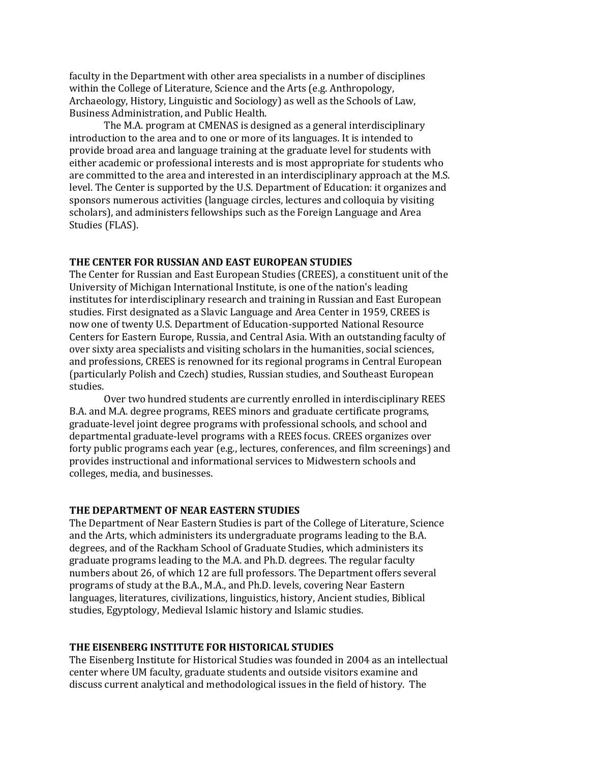faculty in the Department with other area specialists in a number of disciplines within the College of Literature, Science and the Arts (e.g. Anthropology, Archaeology, History, Linguistic and Sociology) as well as the Schools of Law, Business Administration, and Public Health.

The M.A. program at CMENAS is designed as a general interdisciplinary introduction to the area and to one or more of its languages. It is intended to provide broad area and language training at the graduate level for students with either academic or professional interests and is most appropriate for students who are committed to the area and interested in an interdisciplinary approach at the M.S. level. The Center is supported by the U.S. Department of Education: it organizes and sponsors numerous activities (language circles, lectures and colloquia by visiting scholars), and administers fellowships such as the Foreign Language and Area Studies (FLAS).

#### **THE CENTER FOR RUSSIAN AND EAST EUROPEAN STUDIES**

The Center for Russian and East European Studies (CREES), a constituent unit of the [University of Michigan International Institute,](http://www.umich.edu/~iinet/) is one of the nation's leading institutes for interdisciplinary research and training in Russian and East European studies. First designated as a Slavic Language and Area Center in 1959, CREES is now one of twenty U.S. Department of Education-supported National Resource Centers for Eastern Europe, Russia, and Central Asia. With an outstanding faculty of over sixty area specialists and visiting scholars in the humanities, social sciences, and professions, CREES is renowned for its regional programs in Central European (particularly [Polish](http://www.umich.edu/~iinet/crees/regionalstudies/polish/polishindex.html) and [Czech\)](http://www.umich.edu/~iinet/crees/regionalstudies/czech/czechstudiesindex.html) studies[, Russian](http://www.umich.edu/~iinet/crees/regionalstudies/russian/russianindex.html) studies, an[d Southeast European](http://www.umich.edu/~iinet/crees/regionalstudies/sees/seesindex.html) studies.

Over two hundred students are currently enrolled in interdisciplinary REES B.A. and M.A. degree programs, REES minors and graduate certificate programs, graduate-level joint degree programs with professional schools, and school and departmental graduate-level programs with a REES focus. CREES organizes over forty public programs each year (e.g., lectures, conferences, and film screenings) and provides instructional and informational services to Midwestern schools and colleges, media, and businesses.

#### **THE DEPARTMENT OF NEAR EASTERN STUDIES**

The Department of Near Eastern Studies is part of the College of Literature, Science and the Arts, which administers its undergraduate programs leading to the B.A. degrees, and of the Rackham School of Graduate Studies, which administers its graduate programs leading to the M.A. and Ph.D. degrees. The regular faculty numbers about 26, of which 12 are full professors. The Department offers several programs of study at the B.A., M.A., and Ph.D. levels, covering Near Eastern languages, literatures, civilizations, linguistics, history, Ancient studies, Biblical studies, Egyptology, Medieval Islamic history and Islamic studies.

#### **THE EISENBERG INSTITUTE FOR HISTORICAL STUDIES**

The Eisenberg Institute for Historical Studies was founded in 2004 as an intellectual center where UM faculty, graduate students and outside visitors examine and discuss current analytical and methodological issues in the field of history. The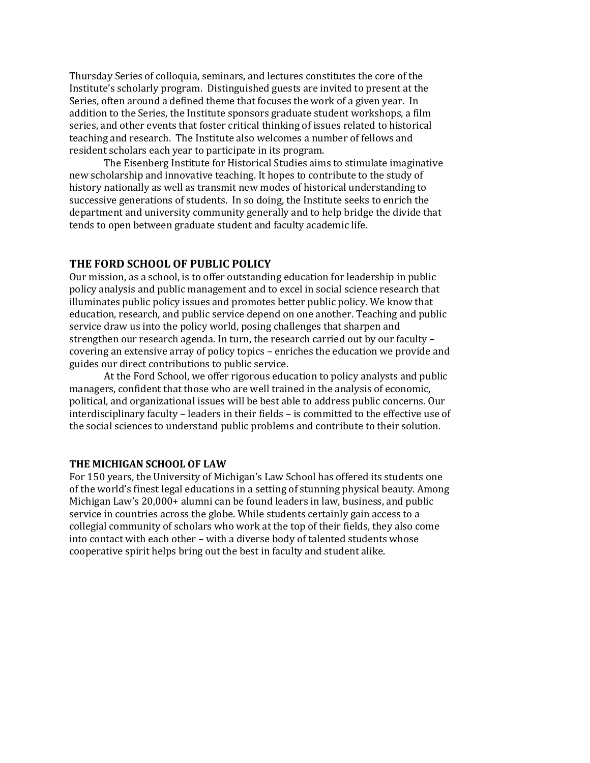Thursday Series of colloquia, seminars, and lectures constitutes the core of the Institute's scholarly program. Distinguished guests are invited to present at the Series, often around a defined theme that focuses the work of a given year. In addition to the Series, the Institute sponsors graduate student workshops, a film series, and other events that foster critical thinking of issues related to historical teaching and research. The Institute also welcomes a number of fellows and resident scholars each year to participate in its program.

The Eisenberg Institute for Historical Studies aims to stimulate imaginative new scholarship and innovative teaching. It hopes to contribute to the study of history nationally as well as transmit new modes of historical understanding to successive generations of students. In so doing, the Institute seeks to enrich the department and university community generally and to help bridge the divide that tends to open between graduate student and faculty academic life.

#### **THE FORD SCHOOL OF PUBLIC POLICY**

Our mission, as a school, is to offer outstanding education for leadership in public policy analysis and public management and to excel in social science research that illuminates public policy issues and promotes better public policy. We know that education, research, and public service depend on one another. Teaching and public service draw us into the policy world, posing challenges that sharpen and strengthen our research agenda. In turn, the research carried out by our faculty – covering an extensive array of policy topics – enriches the education we provide and guides our direct contributions to public service.

At the Ford School, we offer rigorous education to policy analysts and public managers, confident that those who are well trained in the analysis of economic, political, and organizational issues will be best able to address public concerns. Our interdisciplinary faculty – leaders in their fields – is committed to the effective use of the social sciences to understand public problems and contribute to their solution.

#### **THE MICHIGAN SCHOOL OF LAW**

For 150 years, the University of Michigan's Law School has offered its students one of the world's finest legal educations in a setting of stunning physical beauty. Among Michigan Law's 20,000+ alumni can be found leaders in law, business, and public service in countries across the globe. While students certainly gain access to a collegial community of scholars who work at the top of their fields, they also come into contact with each other – with a diverse body of talented students whose cooperative spirit helps bring out the best in faculty and student alike.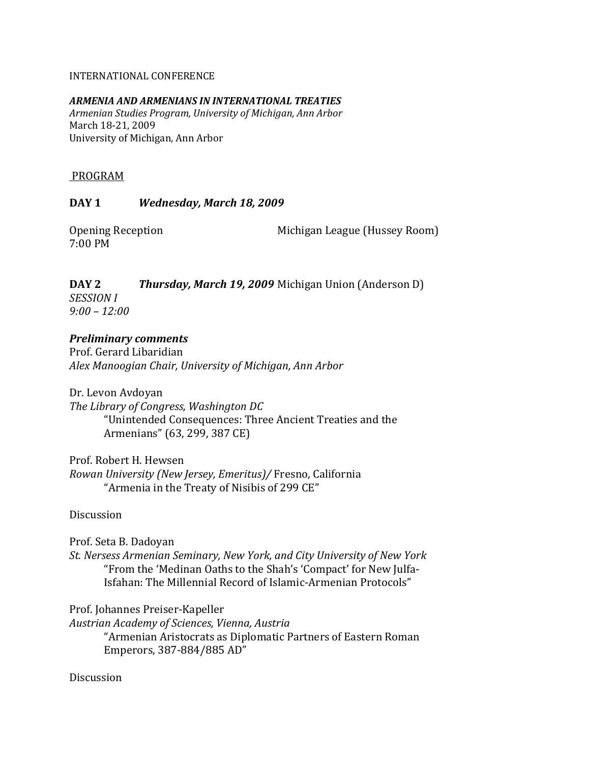### INTERNATIONAL CONFERENCE

### *ARMENIA AND ARMENIANS IN INTERNATIONAL TREATIES*

*Armenian Studies Program, University of Michigan, Ann Arbor* March 18-21, 2009 University of Michigan, Ann Arbor

### PROGRAM

### **DAY 1** *Wednesday, March 18, 2009*

7:00 PM

Opening Reception Michigan League (Hussey Room)

### **DAY 2** *Thursday, March 19, 2009* Michigan Union (Anderson D) *SESSION I*

*9:00 – 12:00*

### *Preliminary comments*

Prof. Gerard Libaridian *Alex Manoogian Chair, University of Michigan, Ann Arbor*

Dr. Levon Avdoyan *The Library of Congress, Washington DC* "Unintended Consequences: Three Ancient Treaties and the Armenians" (63, 299, 387 CE)

Prof. Robert H. Hewsen *Rowan University (New Jersey, Emeritus)/* Fresno, California "Armenia in the Treaty of Nisibis of 299 CE"

Discussion

Prof. Seta B. Dadoyan *St. Nersess Armenian Seminary, New York, and City University of New York* "From the 'Medinan Oaths to the Shah's 'Compact' for New Julfa-Isfahan: The Millennial Record of Islamic-Armenian Protocols"

Prof. Johannes Preiser-Kapeller

*Austrian Academy of Sciences, Vienna, Austria* "Armenian Aristocrats as Diplomatic Partners of Eastern Roman Emperors, 387-884/885 AD"

Discussion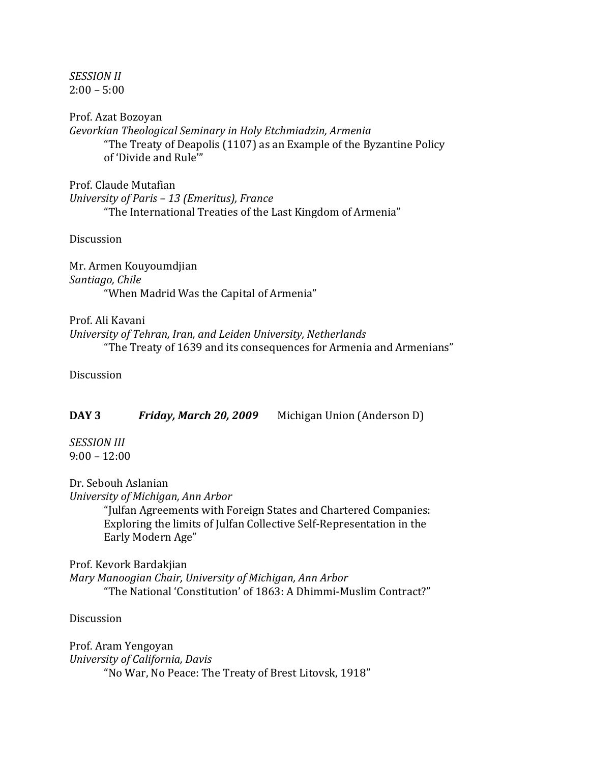*SESSION II*  $2:00 - 5:00$ 

Prof. Azat Bozoyan *Gevorkian Theological Seminary in Holy Etchmiadzin, Armenia* "The Treaty of Deapolis (1107) as an Example of the Byzantine Policy of 'Divide and Rule'"

Prof. Claude Mutafian *University of Paris – 13 (Emeritus), France* "The International Treaties of the Last Kingdom of Armenia"

Discussion

Mr. Armen Kouyoumdjian *Santiago, Chile* "When Madrid Was the Capital of Armenia"

Prof. Ali Kavani *University of Tehran, Iran, and Leiden University, Netherlands* "The Treaty of 1639 and its consequences for Armenia and Armenians"

**Discussion** 

| DAY 3 | Friday, March 20, 2009 | Michigan Union (Anderson D) |
|-------|------------------------|-----------------------------|
|-------|------------------------|-----------------------------|

*SESSION III*  $9:00 - 12:00$ 

Dr. Sebouh Aslanian *University of Michigan, Ann Arbor* "Julfan Agreements with Foreign States and Chartered Companies:

Exploring the limits of Julfan Collective Self-Representation in the Early Modern Age"

Prof. Kevork Bardakjian *Mary Manoogian Chair, University of Michigan, Ann Arbor* "The National 'Constitution' of 1863: A Dhimmi-Muslim Contract?"

**Discussion** 

Prof. Aram Yengoyan *University of California, Davis* "No War, No Peace: The Treaty of Brest Litovsk, 1918"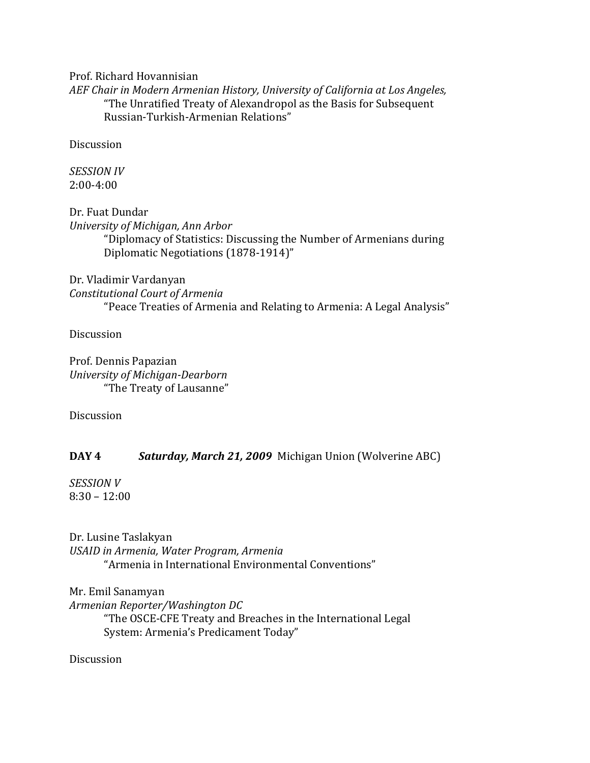Prof. Richard Hovannisian

*AEF Chair in Modern Armenian History, University of California at Los Angeles,*  "The Unratified Treaty of Alexandropol as the Basis for Subsequent Russian-Turkish-Armenian Relations"

Discussion

*SESSION IV* 2:00-4:00

Dr. Fuat Dundar *University of Michigan, Ann Arbor* "Diplomacy of Statistics: Discussing the Number of Armenians during Diplomatic Negotiations (1878-1914)"

### Dr. Vladimir Vardanyan

*Constitutional Court of Armenia*

"Peace Treaties of Armenia and Relating to Armenia: A Legal Analysis"

Discussion

Prof. Dennis Papazian *University of Michigan-Dearborn* "The Treaty of Lausanne"

**Discussion** 

## **DAY 4** *Saturday, March 21, 2009* Michigan Union (Wolverine ABC)

*SESSION V* 8:30 – 12:00

Dr. Lusine Taslakyan *USAID in Armenia, Water Program, Armenia* "Armenia in International Environmental Conventions"

Mr. Emil Sanamyan *Armenian Reporter/Washington DC*

> "The OSCE-CFE Treaty and Breaches in the International Legal System: Armenia's Predicament Today"

**Discussion**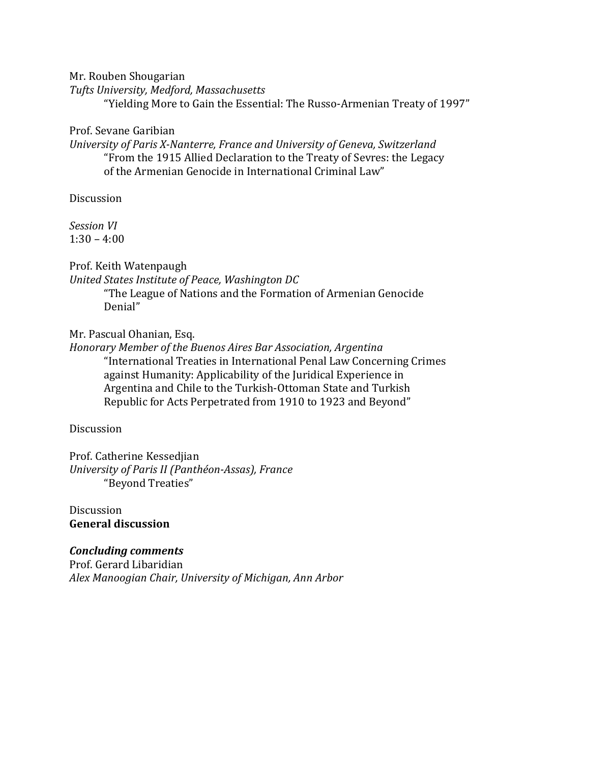Mr. Rouben Shougarian

*Tufts University, Medford, Massachusetts*

"Yielding More to Gain the Essential: The Russo-Armenian Treaty of 1997"

Prof. Sevane Garibian

*University of Paris X-Nanterre, France and University of Geneva, Switzerland* "From the 1915 Allied Declaration to the Treaty of Sevres: the Legacy of the Armenian Genocide in International Criminal Law"

Discussion

*Session VI*  $1:30 - 4:00$ 

Prof. Keith Watenpaugh

*United States Institute of Peace, Washington DC*

"The League of Nations and the Formation of Armenian Genocide Denial"

Mr. Pascual Ohanian, Esq.

*Honorary Member of the Buenos Aires Bar Association, Argentina* "International Treaties in International Penal Law Concerning Crimes against Humanity: Applicability of the Juridical Experience in Argentina and Chile to the Turkish-Ottoman State and Turkish Republic for Acts Perpetrated from 1910 to 1923 and Beyond"

Discussion

Prof. Catherine Kessedjian *University of Paris II (Panthéon-Assas), France* "Beyond Treaties"

Discussion **General discussion**

### *Concluding comments*

Prof. Gerard Libaridian *Alex Manoogian Chair, University of Michigan, Ann Arbor*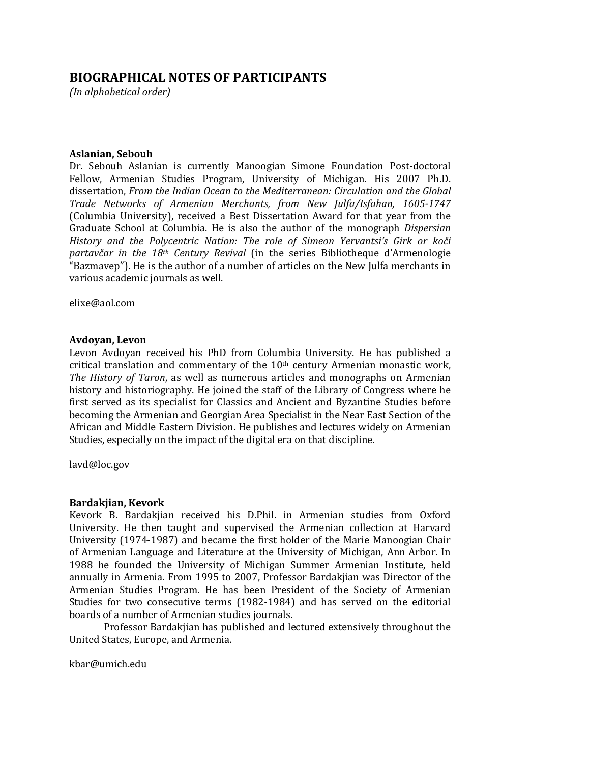### **BIOGRAPHICAL NOTES OF PARTICIPANTS**

*(In alphabetical order)*

#### **Aslanian, Sebouh**

Dr. Sebouh Aslanian is currently Manoogian Simone Foundation Post-doctoral Fellow, Armenian Studies Program, University of Michigan. His 2007 Ph.D. dissertation, *From the Indian Ocean to the Mediterranean: Circulation and the Global Trade Networks of Armenian Merchants, from New Julfa/Isfahan, 1605-1747* (Columbia University), received a Best Dissertation Award for that year from the Graduate School at Columbia. He is also the author of the monograph *Dispersian History and the Polycentric Nation: The role of Simeon Yervantsi's Girk or koči partavčar in the 18th Century Revival* (in the series Bibliotheque d'Armenologie "Bazmavep"). He is the author of a number of articles on the New Julfa merchants in various academic journals as well.

[elixe@aol.com](mailto:elixe@aol.com)

#### **Avdoyan, Levon**

Levon Avdoyan received his PhD from Columbia University. He has published a critical translation and commentary of the 10<sup>th</sup> century Armenian monastic work, *The History of Taron*, as well as numerous articles and monographs on Armenian history and historiography. He joined the staff of the Library of Congress where he first served as its specialist for Classics and Ancient and Byzantine Studies before becoming the Armenian and Georgian Area Specialist in the Near East Section of the African and Middle Eastern Division. He publishes and lectures widely on Armenian Studies, especially on the impact of the digital era on that discipline.

[lavd@loc.gov](mailto:lavd@loc.gov)

#### **Bardakjian, Kevork**

Kevork B. Bardakjian received his D.Phil. in Armenian studies from Oxford University. He then taught and supervised the Armenian collection at Harvard University (1974-1987) and became the first holder of the Marie Manoogian Chair of Armenian Language and Literature at the University of Michigan, Ann Arbor. In 1988 he founded the University of Michigan Summer Armenian Institute, held annually in Armenia. From 1995 to 2007, Professor Bardakjian was Director of the Armenian Studies Program. He has been President of the Society of Armenian Studies for two consecutive terms (1982-1984) and has served on the editorial boards of a number of Armenian studies journals.

Professor Bardakjian has published and lectured extensively throughout the United States, Europe, and Armenia.

[kbar@umich.edu](mailto:kbar@umich.edu)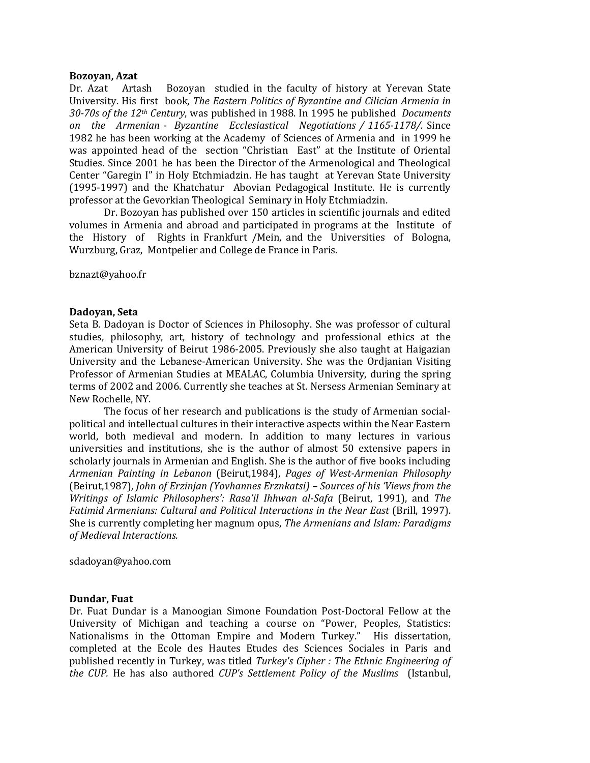#### **Bozoyan, Azat**

Dr. Azat Artash Bozoyan studied in the faculty of history at Yerevan State University. His first book, *The Eastern Politics of Byzantine and Cilician Armenia in 30-70s of the 12th Century*, was published in 1988. In 1995 he published *Documents on the Armenian - Byzantine Ecclesiastical Negotiations / 1165-1178/.* Since 1982 he has been working at the Academy of Sciences of Armenia and in 1999 he was appointed head of the section "Christian East" at the Institute of Oriental Studies. Since 2001 he has been the Director of the Armenological and Theological Center "Garegin I" in Holy Etchmiadzin. He has taught at Yerevan State University (1995-1997) and the Khatchatur Abovian Pedagogical Institute. He is currently professor at the Gevorkian Theological Seminary in Holy Etchmiadzin.

Dr. Bozoyan has published over 150 articles in scientific journals and edited volumes in Armenia and abroad and participated in programs at the Institute of the History of Rights in Frankfurt /Mein, and the Universities of Bologna, Wurzburg, Graz, Montpelier and College de France in Paris.

[bznazt@yahoo.fr](mailto:bznazt@yahoo.fr)

#### **Dadoyan, Seta**

Seta B. Dadoyan is Doctor of Sciences in Philosophy. She was professor of cultural studies, philosophy, art, history of technology and professional ethics at the American University of Beirut 1986-2005. Previously she also taught at Haigazian University and the Lebanese-American University. She was the Ordjanian Visiting Professor of Armenian Studies at MEALAC, Columbia University, during the spring terms of 2002 and 2006. Currently she teaches at St. Nersess Armenian Seminary at New Rochelle, NY.

The focus of her research and publications is the study of Armenian socialpolitical and intellectual cultures in their interactive aspects within the Near Eastern world, both medieval and modern. In addition to many lectures in various universities and institutions, she is the author of almost 50 extensive papers in scholarly journals in Armenian and English. She is the author of five books including *Armenian Painting in Lebanon* (Beirut,1984), *Pages of West-Armenian Philosophy*  (Beirut,1987)*, John of Erzinjan (Yovhannes Erznkatsi) – Sources of his 'Views from the Writings of Islamic Philosophers': Rasa'il Ihhwan al-Safa* (Beirut, 1991), and *The Fatimid Armenians: Cultural and Political Interactions in the Near East (Brill, 1997).* She is currently completing her magnum opus, *The Armenians and Islam: Paradigms of Medieval Interactions.*

[sdadoyan@yahoo.com](mailto:sdadoyan@yahoo.com)

#### **Dundar, Fuat**

Dr. Fuat Dundar is a Manoogian Simone Foundation Post-Doctoral Fellow at the University of Michigan and teaching a course on "Power, Peoples, Statistics: Nationalisms in the Ottoman Empire and Modern Turkey." His dissertation, completed at the Ecole des Hautes Etudes des Sciences Sociales in Paris and published recently in Turkey, was titled *Turkey's Cipher : The Ethnic Engineering of the CUP.* He has also authored *CUP's Settlement Policy of the Muslims* (Istanbul,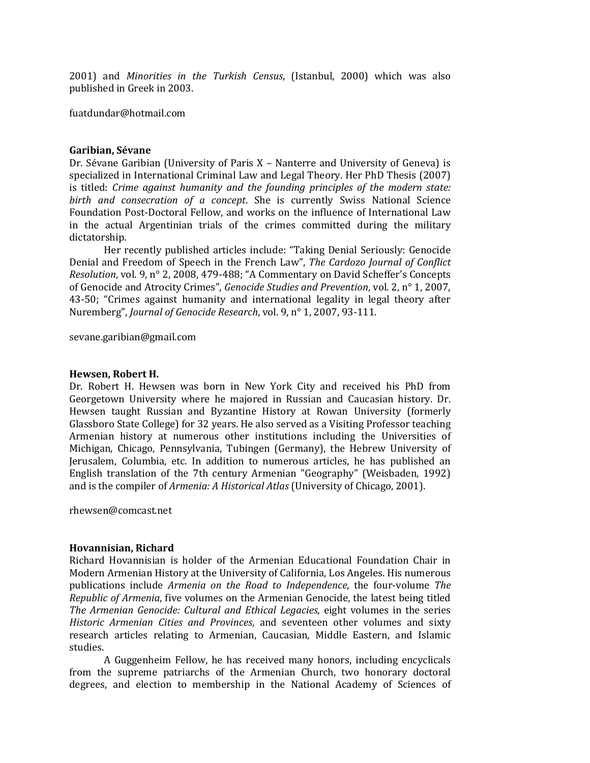2001) and *Minorities in the Turkish Census*, (Istanbul, 2000) which was also published in Greek in 2003.

[fuatdundar@hotmail.com](mailto:fuatdundar@hotmail.com)

#### **Garibian, Sévane**

Dr. Sévane Garibian (University of Paris X – Nanterre and University of Geneva) is specialized in International Criminal Law and Legal Theory. Her PhD Thesis (2007) is titled: *Crime against humanity and the founding principles of the modern state: birth and consecration of a concept*. She is currently Swiss National Science Foundation Post-Doctoral Fellow, and works on the influence of International Law in the actual Argentinian trials of the crimes committed during the military dictatorship.

Her recently published articles include: "Taking Denial Seriously: Genocide Denial and Freedom of Speech in the French Law", *The Cardozo Journal of Conflict Resolution*, vol. 9, n° 2, 2008, 479-488; "A Commentary on David Scheffer's Concepts of Genocide and Atrocity Crimes", *Genocide Studies and Prevention*, vol. 2, n° 1, 2007, 43-50; "Crimes against humanity and international legality in legal theory after Nuremberg", *Journal of Genocide Research*, vol. 9, n° 1, 2007, 93-111.

[sevane.garibian@gmail.com](mailto:sevane.garibian@gmail.com)

#### **Hewsen, Robert H.**

Dr. Robert H. Hewsen was born in New York City and received his PhD from Georgetown University where he majored in Russian and Caucasian history. Dr. Hewsen taught Russian and Byzantine History at Rowan University (formerly Glassboro State College) for 32 years. He also served as a Visiting Professor teaching Armenian history at numerous other institutions including the Universities of Michigan, Chicago, Pennsylvania, Tubingen (Germany), the Hebrew University of Jerusalem, Columbia, etc. In addition to numerous articles, he has published an English translation of the 7th century Armenian "Geography" (Weisbaden, 1992) and is the compiler of *Armenia: A Historical Atlas* (University of Chicago, 2001).

[rhewsen@comcast.net](mailto:rhewsen@comcast.net)

#### **Hovannisian, Richard**

Richard Hovannisian is holder of the Armenian Educational Foundation Chair in Modern Armenian History at the University of California, Los Angeles. His numerous publications include *Armenia on the Road to Independence*, the four-volume *The Republic of Armenia*, five volumes on the Armenian Genocide, the latest being titled *The Armenian Genocide: Cultural and Ethical Legacies*, eight volumes in the series *Historic Armenian Cities and Provinces*, and seventeen other volumes and sixty research articles relating to Armenian, Caucasian, Middle Eastern, and Islamic studies.

A Guggenheim Fellow, he has received many honors, including encyclicals from the supreme patriarchs of the Armenian Church, two honorary doctoral degrees, and election to membership in the National Academy of Sciences of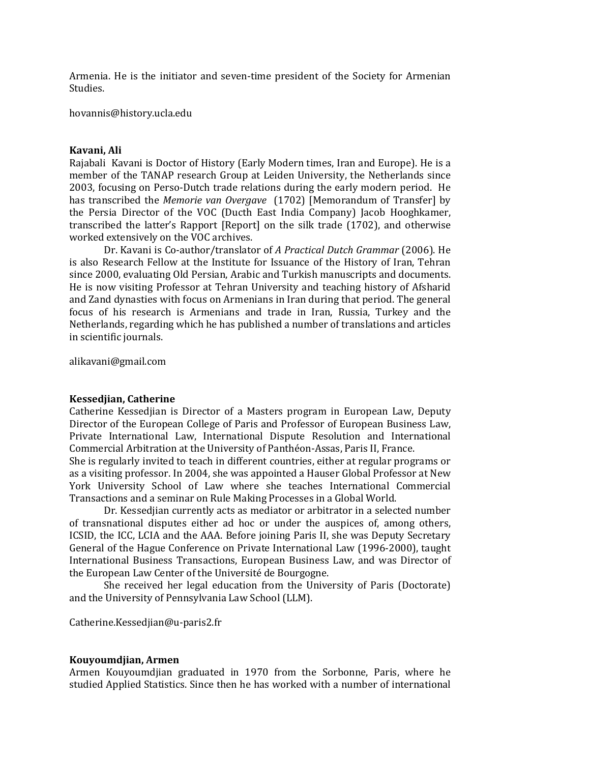Armenia. He is the initiator and seven-time president of the Society for Armenian Studies.

[hovannis@history.ucla.edu](mailto:hovannis@history.ucla.edu)

#### **Kavani, Ali**

Rajabali Kavani is Doctor of History (Early Modern times, Iran and Europe). He is a member of the TANAP research Group at Leiden University, the Netherlands since 2003, focusing on Perso-Dutch trade relations during the early modern period. He has transcribed the *Memorie van Overgave* (1702) [Memorandum of Transfer] by the Persia Director of the VOC (Ducth East India Company) Jacob Hooghkamer, transcribed the latter's Rapport [Report] on the silk trade (1702), and otherwise worked extensively on the VOC archives.

Dr. Kavani is Co-author/translator of *A Practical Dutch Grammar* (2006). He is also Research Fellow at the Institute for Issuance of the History of Iran, Tehran since 2000, evaluating Old Persian, Arabic and Turkish manuscripts and documents. He is now visiting Professor at Tehran University and teaching history of Afsharid and Zand dynasties with focus on Armenians in Iran during that period. The general focus of his research is Armenians and trade in Iran, Russia, Turkey and the Netherlands, regarding which he has published a number of translations and articles in scientific journals.

[alikavani@gmail.com](mailto:alikavani@gmail.com)

#### **Kessedjian, Catherine**

Catherine Kessedjian is Director of a Masters program in European Law, Deputy Director of the European College of Paris and Professor of European Business Law, Private International Law, International Dispute Resolution and International Commercial Arbitration at the University of Panthéon-Assas, Paris II, France.

She is regularly invited to teach in different countries, either at regular programs or as a visiting professor. In 2004, she was appointed a Hauser Global Professor at New York University School of Law where she teaches International Commercial Transactions and a seminar on Rule Making Processes in a Global World.

Dr. Kessedjian currently acts as mediator or arbitrator in a selected number of transnational disputes either ad hoc or under the auspices of, among others, ICSID, the ICC, LCIA and the AAA. Before joining Paris II, she was Deputy Secretary General of the Hague Conference on Private International Law (1996-2000), taught International Business Transactions, European Business Law, and was Director of the European Law Center of the Université de Bourgogne.

She received her legal education from the University of Paris (Doctorate) and the University of Pennsylvania Law School (LLM).

[Catherine.Kessedjian@u-paris2.fr](mailto:Catherine.Kessedjian@u-paris2.fr)

#### **Kouyoumdjian, Armen**

Armen Kouyoumdjian graduated in 1970 from the Sorbonne, Paris, where he studied Applied Statistics. Since then he has worked with a number of international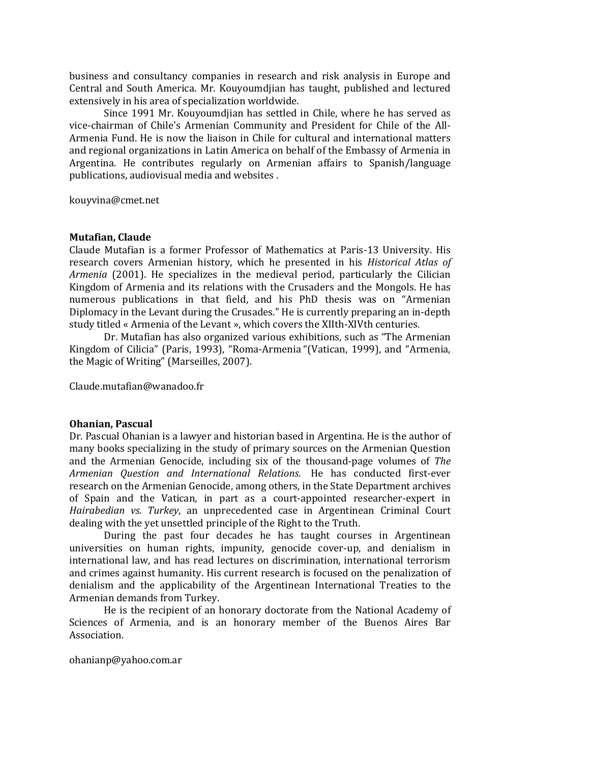business and consultancy companies in research and risk analysis in Europe and Central and South America. Mr. Kouyoumdjian has taught, published and lectured extensively in his area of specialization worldwide.

Since 1991 Mr. Kouyoumdjian has settled in Chile, where he has served as vice-chairman of Chile's Armenian Community and President for Chile of the All-Armenia Fund. He is now the liaison in Chile for cultural and international matters and regional organizations in Latin America on behalf of the Embassy of Armenia in Argentina. He contributes regularly on Armenian affairs to Spanish/language publications, audiovisual media and websites .

[kouyvina@cmet.net](mailto:kouyvina@cmet.net)

#### **Mutafian, Claude**

Claude Mutafian is a former Professor of Mathematics at Paris-13 University. His research covers Armenian history, which he presented in his *Historical Atlas of Armenia* (2001). He specializes in the medieval period, particularly the Cilician Kingdom of Armenia and its relations with the Crusaders and the Mongols. He has numerous publications in that field, and his PhD thesis was on "Armenian Diplomacy in the Levant during the Crusades." He is currently preparing an in-depth study titled « Armenia of the Levant », which covers the XIIth-XIVth centuries.

Dr. Mutafian has also organized various exhibitions, such as "The Armenian Kingdom of Cilicia" (Paris, 1993), "Roma-Armenia "(Vatican, 1999), and "Armenia, the Magic of Writing" (Marseilles, 2007).

[Claude.mutafian@wanadoo.fr](mailto:Claude.mutafian@wanadoo.fr)

#### **Ohanian, Pascual**

Dr. Pascual Ohanian is a lawyer and historian based in Argentina. He is the author of many books specializing in the study of primary sources on the Armenian Question and the Armenian Genocide, including six of the thousand-page volumes of *The Armenian Question and International Relations*. He has conducted first-ever research on the Armenian Genocide, among others, in the State Department archives of Spain and the Vatican, in part as a court-appointed researcher-expert in *Hairabedian vs. Turkey*, an unprecedented case in Argentinean Criminal Court dealing with the yet unsettled principle of the Right to the Truth.

During the past four decades he has taught courses in Argentinean universities on human rights, impunity, genocide cover-up, and denialism in international law, and has read lectures on discrimination, international terrorism and crimes against humanity. His current research is focused on the penalization of denialism and the applicability of the Argentinean International Treaties to the Armenian demands from Turkey.

He is the recipient of an honorary doctorate from the National Academy of Sciences of Armenia, and is an honorary member of the Buenos Aires Bar Association.

[ohanianp@yahoo.com.ar](mailto:ohanianp@yahoo.com.ar)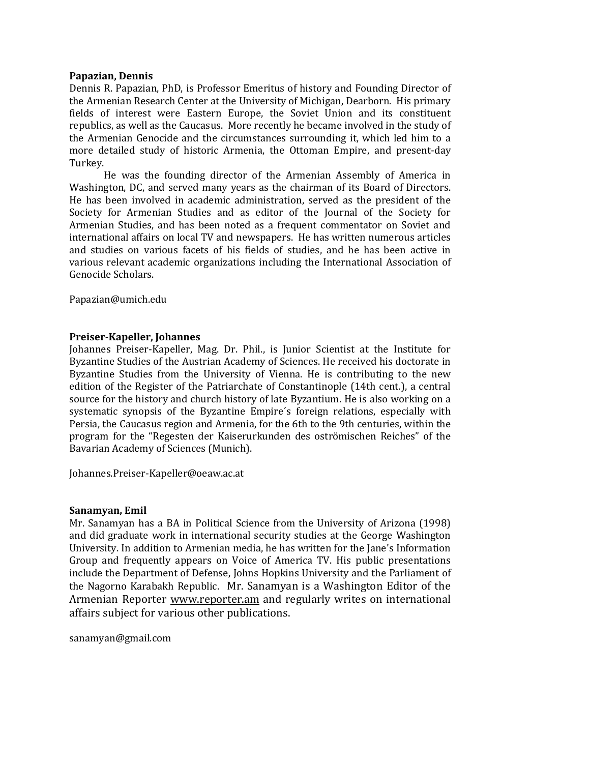#### **Papazian, Dennis**

Dennis R. Papazian, PhD, is Professor Emeritus of history and Founding Director of the Armenian Research Center at the University of Michigan, Dearborn. His primary fields of interest were Eastern Europe, the Soviet Union and its constituent republics, as well as the Caucasus. More recently he became involved in the study of the Armenian Genocide and the circumstances surrounding it, which led him to a more detailed study of historic Armenia, the Ottoman Empire, and present-day Turkey.

He was the founding director of the Armenian Assembly of America in Washington, DC, and served many years as the chairman of its Board of Directors. He has been involved in academic administration, served as the president of the Society for Armenian Studies and as editor of the Journal of the Society for Armenian Studies, and has been noted as a frequent commentator on Soviet and international affairs on local TV and newspapers. He has written numerous articles and studies on various facets of his fields of studies, and he has been active in various relevant academic organizations including the International Association of Genocide Scholars.

[Papazian@umich.edu](mailto:Papazian@umich.edu)

#### **Preiser-Kapeller, Johannes**

Johannes Preiser-Kapeller, Mag. Dr. Phil., is Junior Scientist at the Institute for Byzantine Studies of the Austrian Academy of Sciences. He received his doctorate in Byzantine Studies from the University of Vienna. He is contributing to the new edition of the Register of the Patriarchate of Constantinople (14th cent.), a central source for the history and church history of late Byzantium. He is also working on a systematic synopsis of the Byzantine Empire´s foreign relations, especially with Persia, the Caucasus region and Armenia, for the 6th to the 9th centuries, within the program for the "Regesten der Kaiserurkunden des oströmischen Reiches" of the Bavarian Academy of Sciences (Munich).

[Johannes.Preiser-Kapeller@oeaw.ac.at](mailto:Johannes.Preiser-Kapeller@oeaw.ac.at)

#### **Sanamyan, Emil**

Mr. Sanamyan has a BA in Political Science from the University of Arizona (1998) and did graduate work in international security studies at the George Washington University. In addition to Armenian media, he has written for the Jane's Information Group and frequently appears on Voice of America TV. His public presentations include the Department of Defense, Johns Hopkins University and the Parliament of the Nagorno Karabakh Republic. Mr. Sanamyan is a Washington Editor of the Armenian Reporter [www.reporter.am](http://www.reporter.am/) and regularly writes on international affairs subject for various other publications.

[sanamyan@gmail.com](mailto:sanamyan@gmail.com)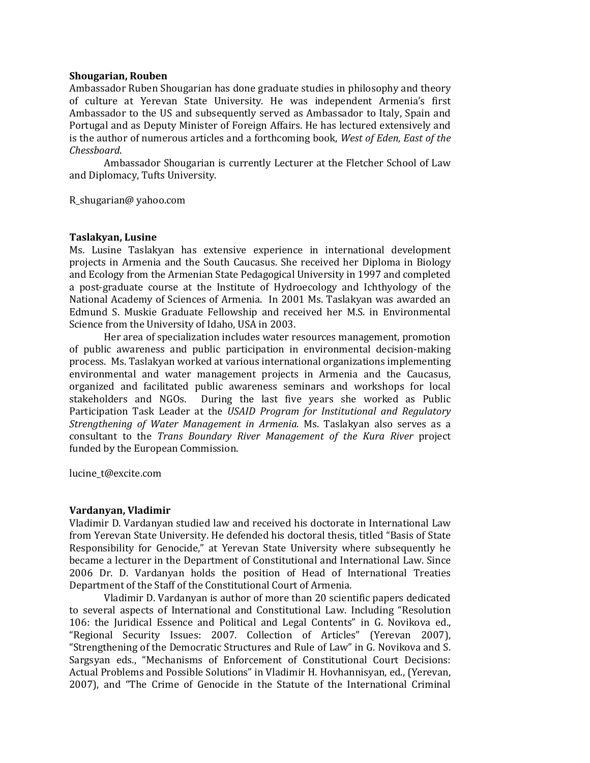#### **Shougarian, Rouben**

Ambassador Ruben Shougarian has done graduate studies in philosophy and theory of culture at Yerevan State University. He was independent Armenia's first Ambassador to the US and subsequently served as Ambassador to Italy, Spain and Portugal and as Deputy Minister of Foreign Affairs. He has lectured extensively and is the author of numerous articles and a forthcoming book, *West of Eden, East of the Chessboard*.

Ambassador Shougarian is currently Lecturer at the Fletcher School of Law and Diplomacy, Tufts University.

R\_shugarian@ yahoo.com

#### **Taslakyan, Lusine**

Ms. Lusine Taslakyan has extensive experience in international development projects in Armenia and the South Caucasus. She received her Diploma in Biology and Ecology from the Armenian State Pedagogical University in 1997 and completed a post-graduate course at the Institute of Hydroecology and Ichthyology of the National Academy of Sciences of Armenia. In 2001 Ms. Taslakyan was awarded an Edmund S. Muskie Graduate Fellowship and received her M.S. in Environmental Science from the University of Idaho, USA in 2003.

Her area of specialization includes water resources management, promotion of public awareness and public participation in environmental decision-making process. Ms. Taslakyan worked at various international organizations implementing environmental and water management projects in Armenia and the Caucasus, organized and facilitated public awareness seminars and workshops for local stakeholders and NGOs. During the last five years she worked as Public Participation Task Leader at the *USAID Program for Institutional and Regulatory Strengthening of Water Management in Armenia*. Ms. Taslakyan also serves as a consultant to the *Trans Boundary River Management of the Kura River* project funded by the European Commission.

[lucine\\_t@excite.com](mailto:lucine_t@excite.com)

#### **Vardanyan, Vladimir**

Vladimir D. Vardanyan studied law and received his doctorate in International Law from Yerevan State University. He defended his doctoral thesis, titled "Basis of State Responsibility for Genocide," at Yerevan State University where subsequently he became a lecturer in the Department of Constitutional and International Law. Since 2006 Dr. D. Vardanyan holds the position of Head of International Treaties Department of the Staff of the Constitutional Court of Armenia.

Vladimir D. Vardanyan is author of more than 20 scientific papers dedicated to several aspects of International and Constitutional Law. Including "Resolution 106: the Juridical Essence and Political and Legal Contents" in G. Novikova ed., "Regional Security Issues: 2007. Collection of Articles" (Yerevan 2007), "Strengthening of the Democratic Structures and Rule of Law" in G. Novikova and S. Sargsyan eds., "Mechanisms of Enforcement of Constitutional Court Decisions: Actual Problems and Possible Solutions" in Vladimir H. Hovhannisyan, ed., (Yerevan, 2007), and "The Crime of Genocide in the Statute of the International Criminal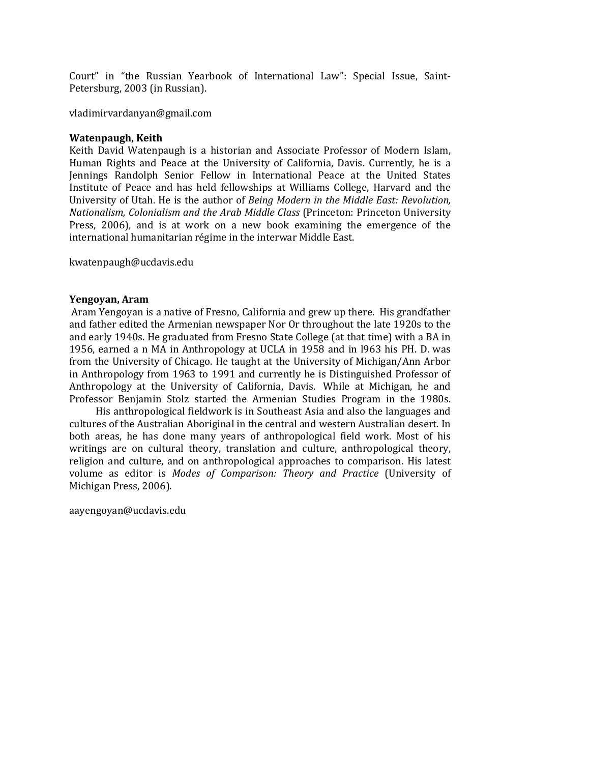Court" in "the Russian Yearbook of International Law": Special Issue, Saint-Petersburg, 2003 (in Russian).

[vladimirvardanyan@gmail.com](mailto:vladimirvardanyan@gmail.com)

#### **Watenpaugh, Keith**

Keith David Watenpaugh is a historian and Associate Professor of Modern Islam, Human Rights and Peace at the University of California, Davis. Currently, he is a Jennings Randolph Senior Fellow in International Peace at the United States Institute of Peace and has held fellowships at Williams College, Harvard and the University of Utah. He is the author of *Being Modern in the Middle East: Revolution, Nationalism, Colonialism and the Arab Middle Class* (Princeton: Princeton University Press, 2006), and is at work on a new book examining the emergence of the international humanitarian régime in the interwar Middle East.

[kwatenpaugh@ucdavis.edu](mailto:kwatenpaugh@ucdavis.edu)

#### **Yengoyan, Aram**

Aram Yengoyan is a native of Fresno, California and grew up there. His grandfather and father edited the Armenian newspaper Nor Or throughout the late 1920s to the and early 1940s. He graduated from Fresno State College (at that time) with a BA in 1956, earned a n MA in Anthropology at UCLA in 1958 and in l963 his PH. D. was from the University of Chicago. He taught at the University of Michigan/Ann Arbor in Anthropology from 1963 to 1991 and currently he is Distinguished Professor of Anthropology at the University of California, Davis. While at Michigan, he and Professor Benjamin Stolz started the Armenian Studies Program in the 1980s.

His anthropological fieldwork is in Southeast Asia and also the languages and cultures of the Australian Aboriginal in the central and western Australian desert. In both areas, he has done many years of anthropological field work. Most of his writings are on cultural theory, translation and culture, anthropological theory, religion and culture, and on anthropological approaches to comparison. His latest volume as editor is *Modes of Comparison: Theory and Practice* (University of Michigan Press, 2006).

[aayengoyan@ucdavis.edu](mailto:aayengoyan@ucdavis.edu)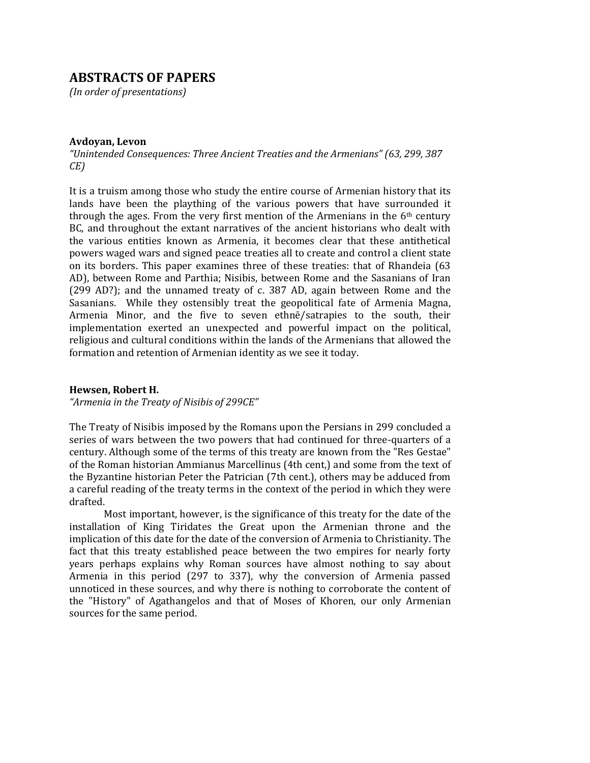### **ABSTRACTS OF PAPERS**

*(In order of presentations)*

#### **Avdoyan, Levon**

*"Unintended Consequences: Three Ancient Treaties and the Armenians" (63, 299, 387 CE)*

It is a truism among those who study the entire course of Armenian history that its lands have been the plaything of the various powers that have surrounded it through the ages. From the very first mention of the Armenians in the 6th century BC, and throughout the extant narratives of the ancient historians who dealt with the various entities known as Armenia, it becomes clear that these antithetical powers waged wars and signed peace treaties all to create and control a client state on its borders. This paper examines three of these treaties: that of Rhandeia (63 AD), between Rome and Parthia; Nisibis, between Rome and the Sasanians of Iran (299 AD?); and the unnamed treaty of c. 387 AD, again between Rome and the Sasanians. While they ostensibly treat the geopolitical fate of Armenia Magna, Armenia Minor, and the five to seven ethnē/satrapies to the south, their implementation exerted an unexpected and powerful impact on the political, religious and cultural conditions within the lands of the Armenians that allowed the formation and retention of Armenian identity as we see it today.

#### **Hewsen, Robert H.**

*"Armenia in the Treaty of Nisibis of 299CE"*

The Treaty of Nisibis imposed by the Romans upon the Persians in 299 concluded a series of wars between the two powers that had continued for three-quarters of a century. Although some of the terms of this treaty are known from the "Res Gestae" of the Roman historian Ammianus Marcellinus (4th cent,) and some from the text of the Byzantine historian Peter the Patrician (7th cent.), others may be adduced from a careful reading of the treaty terms in the context of the period in which they were drafted.

Most important, however, is the significance of this treaty for the date of the installation of King Tiridates the Great upon the Armenian throne and the implication of this date for the date of the conversion of Armenia to Christianity. The fact that this treaty established peace between the two empires for nearly forty years perhaps explains why Roman sources have almost nothing to say about Armenia in this period (297 to 337), why the conversion of Armenia passed unnoticed in these sources, and why there is nothing to corroborate the content of the "History" of Agathangelos and that of Moses of Khoren, our only Armenian sources for the same period.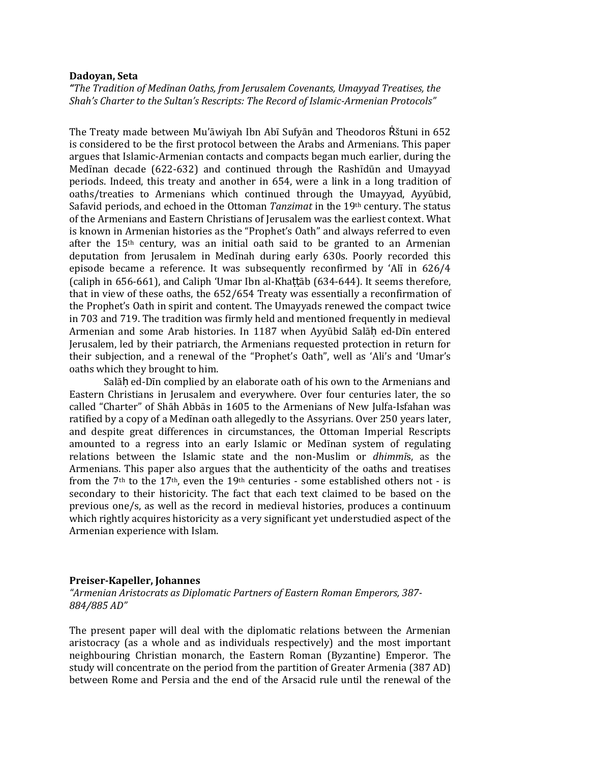#### **Dadoyan, Seta**

*"The Tradition of Medīnan Oaths, from Jerusalem Covenants, Umayyad Treatises, the Shah's Charter to the Sultan's Rescripts: The Record of Islamic-Armenian Protocols"*

The Treaty made between Mu'āwiyah Ibn Abī Sufyān and Theodoros Rštuni in 652 is considered to be the first protocol between the Arabs and Armenians. This paper argues that Islamic-Armenian contacts and compacts began much earlier, during the Medīnan decade (622-632) and continued through the Rashīdūn and Umayyad periods. Indeed, this treaty and another in 654, were a link in a long tradition of oaths/treaties to Armenians which continued through the Umayyad, Ayyūbid, Safavid periods, and echoed in the Ottoman *Tanzimat* in the 19th century. The status of the Armenians and Eastern Christians of Jerusalem was the earliest context. What is known in Armenian histories as the "Prophet's Oath" and always referred to even after the 15th century, was an initial oath said to be granted to an Armenian deputation from Jerusalem in Medīnah during early 630s. Poorly recorded this episode became a reference. It was subsequently reconfirmed by 'Alī in 626/4 (caliph in 656-661), and Caliph 'Umar Ibn al-Khaṭṭāb (634-644). It seems therefore, that in view of these oaths, the 652/654 Treaty was essentially a reconfirmation of the Prophet's Oath in spirit and content. The Umayyads renewed the compact twice in 703 and 719. The tradition was firmly held and mentioned frequently in medieval Armenian and some Arab histories. In 1187 when Ayyūbid Salāh ed-Dīn entered Jerusalem, led by their patriarch, the Armenians requested protection in return for their subjection, and a renewal of the "Prophet's Oath", well as 'Ali's and 'Umar's oaths which they brought to him.

Salāḥ ed-Dīn complied by an elaborate oath of his own to the Armenians and Eastern Christians in Jerusalem and everywhere. Over four centuries later, the so called "Charter" of Shāh Abbās in 1605 to the Armenians of New Julfa-Isfahan was ratified by a copy of a Medīnan oath allegedly to the Assyrians. Over 250 years later, and despite great differences in circumstances, the Ottoman Imperial Rescripts amounted to a regress into an early Islamic or Medīnan system of regulating relations between the Islamic state and the non-Muslim or *dhimmī*s, as the Armenians. This paper also argues that the authenticity of the oaths and treatises from the  $7<sup>th</sup>$  to the  $17<sup>th</sup>$ , even the  $19<sup>th</sup>$  centuries - some established others not - is secondary to their historicity. The fact that each text claimed to be based on the previous one/s, as well as the record in medieval histories, produces a continuum which rightly acquires historicity as a very significant yet understudied aspect of the Armenian experience with Islam.

#### **Preiser-Kapeller, Johannes**

*"Armenian Aristocrats as Diplomatic Partners of Eastern Roman Emperors, 387- 884/885 AD"*

The present paper will deal with the diplomatic relations between the Armenian aristocracy (as a whole and as individuals respectively) and the most important neighbouring Christian monarch, the Eastern Roman (Byzantine) Emperor. The study will concentrate on the period from the partition of Greater Armenia (387 AD) between Rome and Persia and the end of the Arsacid rule until the renewal of the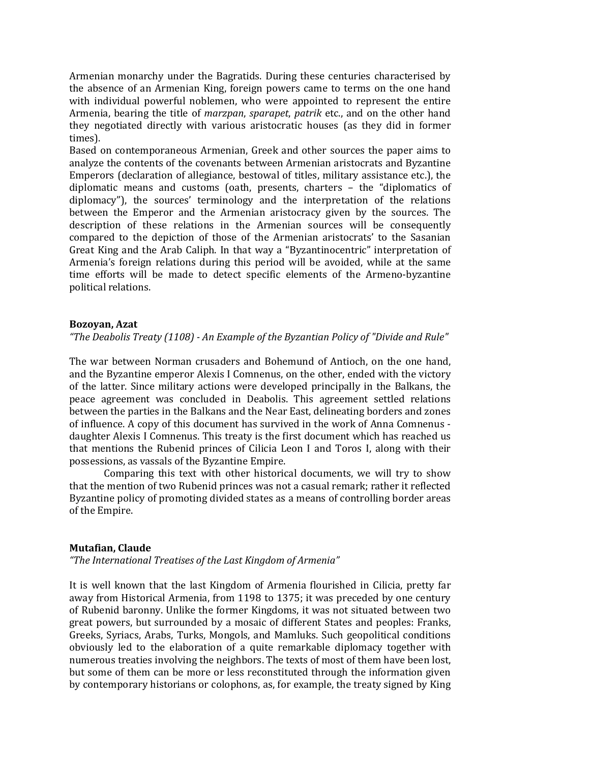Armenian monarchy under the Bagratids. During these centuries characterised by the absence of an Armenian King, foreign powers came to terms on the one hand with individual powerful noblemen, who were appointed to represent the entire Armenia, bearing the title of *marzpan*, *sparapet*, *patrik* etc., and on the other hand they negotiated directly with various aristocratic houses (as they did in former times).

Based on contemporaneous Armenian, Greek and other sources the paper aims to analyze the contents of the covenants between Armenian aristocrats and Byzantine Emperors (declaration of allegiance, bestowal of titles, military assistance etc.), the diplomatic means and customs (oath, presents, charters – the "diplomatics of diplomacy"), the sources' terminology and the interpretation of the relations between the Emperor and the Armenian aristocracy given by the sources. The description of these relations in the Armenian sources will be consequently compared to the depiction of those of the Armenian aristocrats' to the Sasanian Great King and the Arab Caliph. In that way a "Byzantinocentric" interpretation of Armenia's foreign relations during this period will be avoided, while at the same time efforts will be made to detect specific elements of the Armeno-byzantine political relations.

#### **Bozoyan, Azat**

*"The Deabolis Treaty (1108) - An Example of the Byzantian Policy of "Divide and Rule"*

The war between Norman crusaders and Bohemund of Antioch, on the one hand, and the Byzantine emperor Alexis I Comnenus, on the other, ended with the victory of the latter. Since military actions were developed principally in the Balkans, the peace agreement was concluded in Deabolis. This agreement settled relations between the parties in the Balkans and the Near East, delineating borders and zones of influence. A copy of this document has survived in the work of Anna Comnenus daughter Alexis I Comnenus. This treaty is the first document which has reached us that mentions the Rubenid princes of Cilicia Leon I and Toros I, along with their possessions, as vassals of the Byzantine Empire.

Comparing this text with other historical documents, we will try to show that the mention of two Rubenid princes was not a casual remark; rather it reflected Byzantine policy of promoting divided states as a means of controlling border areas of the Empire.

#### **Mutafian, Claude**

*"The International Treatises of the Last Kingdom of Armenia"*

It is well known that the last Kingdom of Armenia flourished in Cilicia, pretty far away from Historical Armenia, from 1198 to 1375; it was preceded by one century of Rubenid baronny. Unlike the former Kingdoms, it was not situated between two great powers, but surrounded by a mosaic of different States and peoples: Franks, Greeks, Syriacs, Arabs, Turks, Mongols, and Mamluks. Such geopolitical conditions obviously led to the elaboration of a quite remarkable diplomacy together with numerous treaties involving the neighbors. The texts of most of them have been lost, but some of them can be more or less reconstituted through the information given by contemporary historians or colophons, as, for example, the treaty signed by King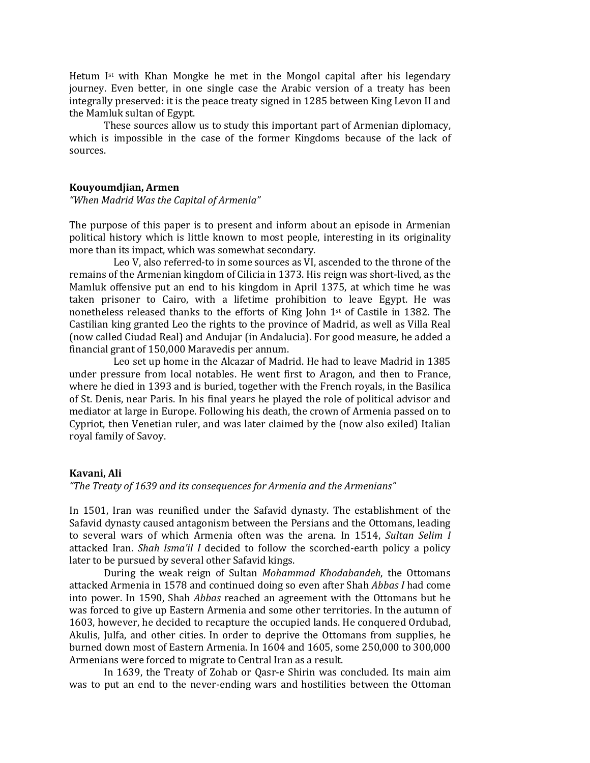Hetum Ist with Khan Mongke he met in the Mongol capital after his legendary journey. Even better, in one single case the Arabic version of a treaty has been integrally preserved: it is the peace treaty signed in 1285 between King Levon II and the Mamluk sultan of Egypt.

These sources allow us to study this important part of Armenian diplomacy, which is impossible in the case of the former Kingdoms because of the lack of sources.

#### **Kouyoumdjian, Armen**

*"When Madrid Was the Capital of Armenia"*

The purpose of this paper is to present and inform about an episode in Armenian political history which is little known to most people, interesting in its originality more than its impact, which was somewhat secondary.

Leo V, also referred-to in some sources as VI, ascended to the throne of the remains of the Armenian kingdom of Cilicia in 1373. His reign was short-lived, as the Mamluk offensive put an end to his kingdom in April 1375, at which time he was taken prisoner to Cairo, with a lifetime prohibition to leave Egypt. He was nonetheless released thanks to the efforts of King John 1st of Castile in 1382. The Castilian king granted Leo the rights to the province of Madrid, as well as Villa Real (now called Ciudad Real) and Andujar (in Andalucia). For good measure, he added a financial grant of 150,000 Maravedis per annum.

Leo set up home in the Alcazar of Madrid. He had to leave Madrid in 1385 under pressure from local notables. He went first to Aragon, and then to France, where he died in 1393 and is buried, together with the French royals, in the Basilica of St. Denis, near Paris. In his final years he played the role of political advisor and mediator at large in Europe. Following his death, the crown of Armenia passed on to Cypriot, then Venetian ruler, and was later claimed by the (now also exiled) Italian royal family of Savoy.

#### **Kavani, Ali**

*"The Treaty of 1639 and its consequences for Armenia and the Armenians"*

In 1501, Iran was reunified under the Safavid dynasty. The establishment of the Safavid dynasty caused antagonism between the Persians and the Ottomans, leading to several wars of which Armenia often was the arena. In 1514, *Sultan Selim I* attacked Iran. *Shah lsma'il I* decided to follow the scorched-earth policy a policy later to be pursued by several other Safavid kings.

During the weak reign of Sultan *Mohammad Khodabandeh*, the Ottomans attacked Armenia in 1578 and continued doing so even after Shah *Abbas I* had come into power. In 1590, Shah *Abbas* reached an agreement with the Ottomans but he was forced to give up Eastern Armenia and some other territories. In the autumn of 1603, however, he decided to recapture the occupied lands. He conquered Ordubad, Akulis, Julfa, and other cities. In order to deprive the Ottomans from supplies, he burned down most of Eastern Armenia. In 1604 and 1605, some 250,000 to 300,000 Armenians were forced to migrate to Central Iran as a result.

In 1639, the Treaty of Zohab or Qasr-e Shirin was concluded. Its main aim was to put an end to the never-ending wars and hostilities between the Ottoman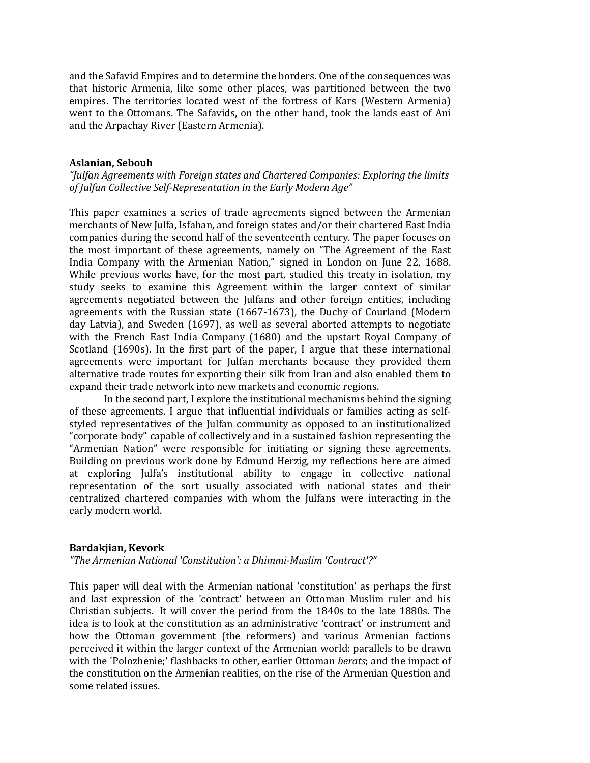and the Safavid Empires and to determine the borders. One of the consequences was that historic Armenia, like some other places, was partitioned between the two empires. The territories located west of the fortress of Kars (Western Armenia) went to the Ottomans. The Safavids, on the other hand, took the lands east of Ani and the Arpachay River (Eastern Armenia).

#### **Aslanian, Sebouh**

*"Julfan Agreements with Foreign states and Chartered Companies: Exploring the limits of Julfan Collective Self-Representation in the Early Modern Age"*

This paper examines a series of trade agreements signed between the Armenian merchants of New Julfa, Isfahan, and foreign states and/or their chartered East India companies during the second half of the seventeenth century. The paper focuses on the most important of these agreements, namely on "The Agreement of the East India Company with the Armenian Nation," signed in London on June 22, 1688. While previous works have, for the most part, studied this treaty in isolation, my study seeks to examine this Agreement within the larger context of similar agreements negotiated between the Julfans and other foreign entities, including agreements with the Russian state (1667-1673), the Duchy of Courland (Modern day Latvia), and Sweden (1697), as well as several aborted attempts to negotiate with the French East India Company (1680) and the upstart Royal Company of Scotland (1690s). In the first part of the paper, I argue that these international agreements were important for Julfan merchants because they provided them alternative trade routes for exporting their silk from Iran and also enabled them to expand their trade network into new markets and economic regions.

In the second part, I explore the institutional mechanisms behind the signing of these agreements. I argue that influential individuals or families acting as selfstyled representatives of the Julfan community as opposed to an institutionalized "corporate body" capable of collectively and in a sustained fashion representing the "Armenian Nation" were responsible for initiating or signing these agreements. Building on previous work done by Edmund Herzig, my reflections here are aimed at exploring Julfa's institutional ability to engage in collective national representation of the sort usually associated with national states and their centralized chartered companies with whom the Julfans were interacting in the early modern world.

#### **Bardakjian, Kevork**

*"The Armenian National 'Constitution': a Dhimmi-Muslim 'Contract'?"*

This paper will deal with the Armenian national 'constitution' as perhaps the first and last expression of the 'contract' between an Ottoman Muslim ruler and his Christian subjects. It will cover the period from the 1840s to the late 1880s. The idea is to look at the constitution as an administrative 'contract' or instrument and how the Ottoman government (the reformers) and various Armenian factions perceived it within the larger context of the Armenian world: parallels to be drawn with the 'Polozhenie;' flashbacks to other, earlier Ottoman *berats*; and the impact of the constitution on the Armenian realities, on the rise of the Armenian Question and some related issues.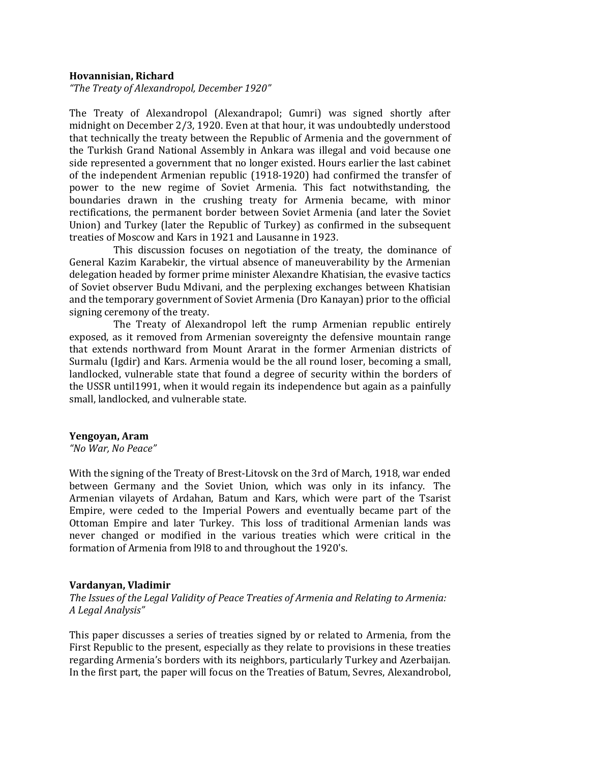#### **Hovannisian, Richard**

*"The Treaty of Alexandropol, December 1920"*

The Treaty of Alexandropol (Alexandrapol; Gumri) was signed shortly after midnight on December 2/3, 1920. Even at that hour, it was undoubtedly understood that technically the treaty between the Republic of Armenia and the government of the Turkish Grand National Assembly in Ankara was illegal and void because one side represented a government that no longer existed. Hours earlier the last cabinet of the independent Armenian republic (1918-1920) had confirmed the transfer of power to the new regime of Soviet Armenia. This fact notwithstanding, the boundaries drawn in the crushing treaty for Armenia became, with minor rectifications, the permanent border between Soviet Armenia (and later the Soviet Union) and Turkey (later the Republic of Turkey) as confirmed in the subsequent treaties of Moscow and Kars in 1921 and Lausanne in 1923.

This discussion focuses on negotiation of the treaty, the dominance of General Kazim Karabekir, the virtual absence of maneuverability by the Armenian delegation headed by former prime minister Alexandre Khatisian, the evasive tactics of Soviet observer Budu Mdivani, and the perplexing exchanges between Khatisian and the temporary government of Soviet Armenia (Dro Kanayan) prior to the official signing ceremony of the treaty.

The Treaty of Alexandropol left the rump Armenian republic entirely exposed, as it removed from Armenian sovereignty the defensive mountain range that extends northward from Mount Ararat in the former Armenian districts of Surmalu (Igdir) and Kars. Armenia would be the all round loser, becoming a small, landlocked, vulnerable state that found a degree of security within the borders of the USSR until1991, when it would regain its independence but again as a painfully small, landlocked, and vulnerable state.

#### **Yengoyan, Aram**

*"No War, No Peace"*

With the signing of the Treaty of Brest-Litovsk on the 3rd of March, 1918, war ended between Germany and the Soviet Union, which was only in its infancy. The Armenian vilayets of Ardahan, Batum and Kars, which were part of the Tsarist Empire, were ceded to the Imperial Powers and eventually became part of the Ottoman Empire and later Turkey. This loss of traditional Armenian lands was never changed or modified in the various treaties which were critical in the formation of Armenia from l9l8 to and throughout the 1920's.

#### **Vardanyan, Vladimir**

*The Issues of the Legal Validity of Peace Treaties of Armenia and Relating to Armenia: A Legal Analysis"*

This paper discusses a series of treaties signed by or related to Armenia, from the First Republic to the present, especially as they relate to provisions in these treaties regarding Armenia's borders with its neighbors, particularly Turkey and Azerbaijan. In the first part, the paper will focus on the Treaties of Batum, Sevres, Alexandrobol,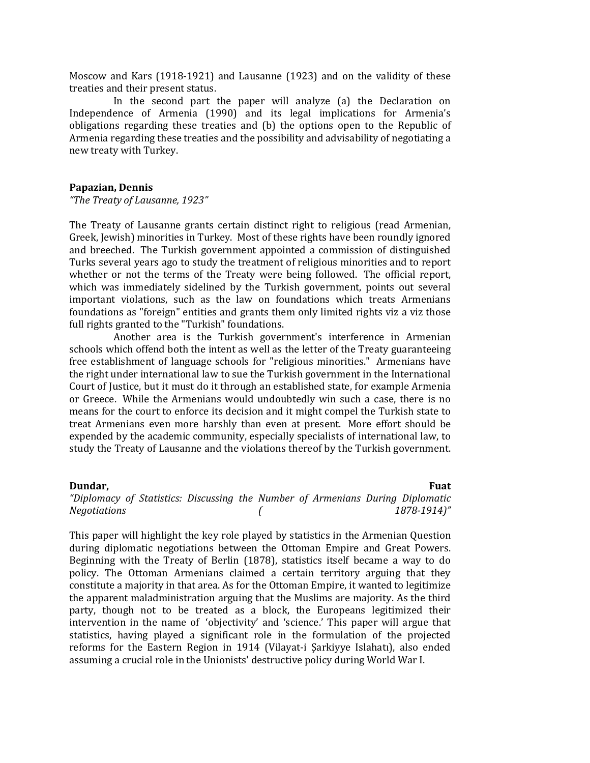Moscow and Kars (1918-1921) and Lausanne (1923) and on the validity of these treaties and their present status.

In the second part the paper will analyze (a) the Declaration on Independence of Armenia (1990) and its legal implications for Armenia's obligations regarding these treaties and (b) the options open to the Republic of Armenia regarding these treaties and the possibility and advisability of negotiating a new treaty with Turkey.

#### **Papazian, Dennis**

*"The Treaty of Lausanne, 1923"*

The Treaty of Lausanne grants certain distinct right to religious (read Armenian, Greek, Jewish) minorities in Turkey. Most of these rights have been roundly ignored and breeched. The Turkish government appointed a commission of distinguished Turks several years ago to study the treatment of religious minorities and to report whether or not the terms of the Treaty were being followed. The official report, which was immediately sidelined by the Turkish government, points out several important violations, such as the law on foundations which treats Armenians foundations as "foreign" entities and grants them only limited rights viz a viz those full rights granted to the "Turkish" foundations.

Another area is the Turkish government's interference in Armenian schools which offend both the intent as well as the letter of the Treaty guaranteeing free establishment of language schools for "religious minorities." Armenians have the right under international law to sue the Turkish government in the International Court of Justice, but it must do it through an established state, for example Armenia or Greece. While the Armenians would undoubtedly win such a case, there is no means for the court to enforce its decision and it might compel the Turkish state to treat Armenians even more harshly than even at present. More effort should be expended by the academic community, especially specialists of international law, to study the Treaty of Lausanne and the violations thereof by the Turkish government.

#### **Dundar,** Fuat

*"Diplomacy of Statistics: Discussing the Number of Armenians During Diplomatic Negotiations ( 1878-1914)"*

This paper will highlight the key role played by statistics in the Armenian Question during diplomatic negotiations between the Ottoman Empire and Great Powers. Beginning with the Treaty of Berlin (1878), statistics itself became a way to do policy. The Ottoman Armenians claimed a certain territory arguing that they constitute a majority in that area. As for the Ottoman Empire, it wanted to legitimize the apparent maladministration arguing that the Muslims are majority. As the third party, though not to be treated as a block, the Europeans legitimized their intervention in the name of 'objectivity' and 'science.' This paper will argue that statistics, having played a significant role in the formulation of the projected reforms for the Eastern Region in 1914 (Vilayat-i Şarkiyye Islahatı), also ended assuming a crucial role in the Unionists' destructive policy during World War I.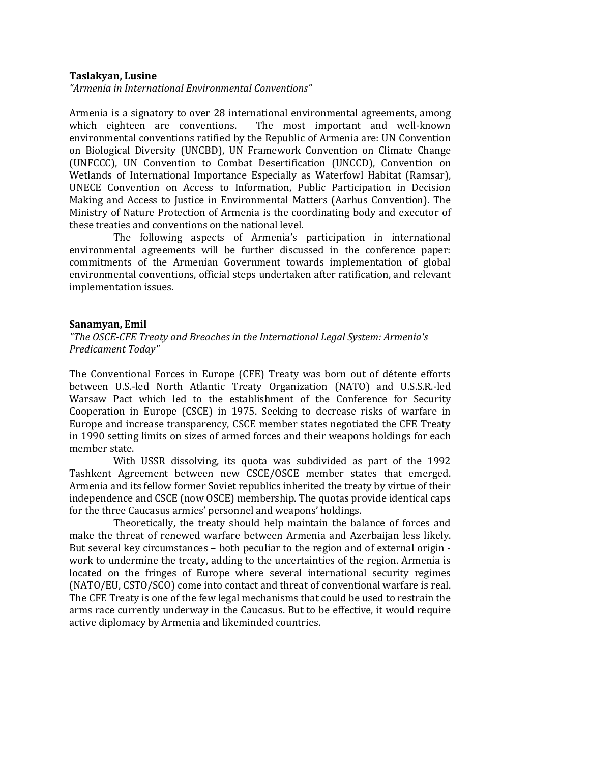#### **Taslakyan, Lusine**

*"Armenia in International Environmental Conventions"*

Armenia is a signatory to over 28 international environmental agreements, among which eighteen are conventions. The most important and well-known The most important and well-known environmental conventions ratified by the Republic of Armenia are: UN Convention on Biological Diversity (UNCBD), UN Framework Convention on Climate Change (UNFCCC), UN Convention to Combat Desertification (UNCCD), Convention on Wetlands of International Importance Especially as Waterfowl Habitat (Ramsar), UNECE Convention on Access to Information, Public Participation in Decision Making and Access to Justice in Environmental Matters (Aarhus Convention). The Ministry of Nature Protection of Armenia is the coordinating body and executor of these treaties and conventions on the national level.

The following aspects of Armenia's participation in international environmental agreements will be further discussed in the conference paper: commitments of the Armenian Government towards implementation of global environmental conventions, official steps undertaken after ratification, and relevant implementation issues.

#### **Sanamyan, Emil**

*"The OSCE-CFE Treaty and Breaches in the International Legal System: Armenia's Predicament Today"*

The Conventional Forces in Europe (CFE) Treaty was born out of détente efforts between U.S.-led North Atlantic Treaty Organization (NATO) and U.S.S.R.-led Warsaw Pact which led to the establishment of the Conference for Security Cooperation in Europe (CSCE) in 1975. Seeking to decrease risks of warfare in Europe and increase transparency, CSCE member states negotiated the CFE Treaty in 1990 setting limits on sizes of armed forces and their weapons holdings for each member state.

With USSR dissolving, its quota was subdivided as part of the 1992 Tashkent Agreement between new CSCE/OSCE member states that emerged. Armenia and its fellow former Soviet republics inherited the treaty by virtue of their independence and CSCE (now OSCE) membership. The quotas provide identical caps for the three Caucasus armies' personnel and weapons' holdings.

Theoretically, the treaty should help maintain the balance of forces and make the threat of renewed warfare between Armenia and Azerbaijan less likely. But several key circumstances – both peculiar to the region and of external origin work to undermine the treaty, adding to the uncertainties of the region. Armenia is located on the fringes of Europe where several international security regimes (NATO/EU, CSTO/SCO) come into contact and threat of conventional warfare is real. The CFE Treaty is one of the few legal mechanisms that could be used to restrain the arms race currently underway in the Caucasus. But to be effective, it would require active diplomacy by Armenia and likeminded countries.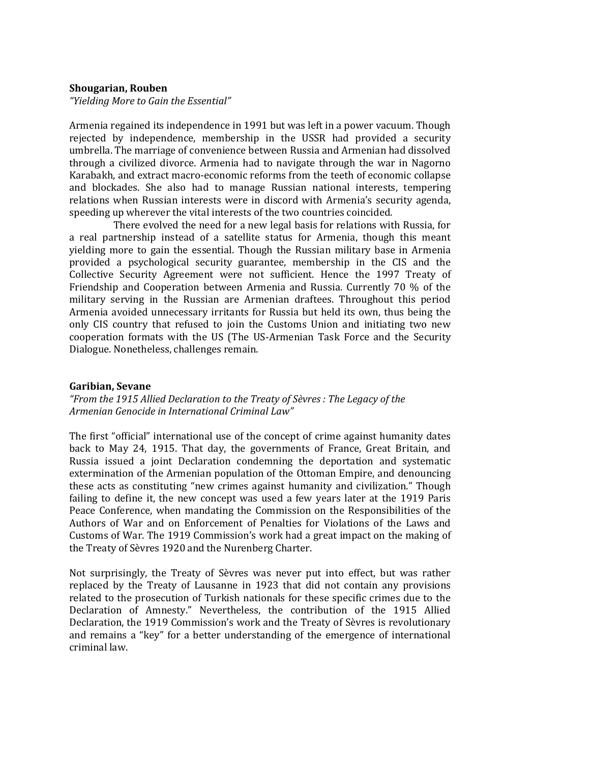#### **Shougarian, Rouben**

*"Yielding More to Gain the Essential"*

Armenia regained its independence in 1991 but was left in a power vacuum. Though rejected by independence, membership in the USSR had provided a security umbrella. The marriage of convenience between Russia and Armenian had dissolved through a civilized divorce. Armenia had to navigate through the war in Nagorno Karabakh, and extract macro-economic reforms from the teeth of economic collapse and blockades. She also had to manage Russian national interests, tempering relations when Russian interests were in discord with Armenia's security agenda, speeding up wherever the vital interests of the two countries coincided.

There evolved the need for a new legal basis for relations with Russia, for a real partnership instead of a satellite status for Armenia, though this meant yielding more to gain the essential. Though the Russian military base in Armenia provided a psychological security guarantee, membership in the CIS and the Collective Security Agreement were not sufficient. Hence the 1997 Treaty of Friendship and Cooperation between Armenia and Russia. Currently 70 % of the military serving in the Russian are Armenian draftees. Throughout this period Armenia avoided unnecessary irritants for Russia but held its own, thus being the only CIS country that refused to join the Customs Union and initiating two new cooperation formats with the US (The US-Armenian Task Force and the Security Dialogue. Nonetheless, challenges remain.

#### **Garibian, Sevane**

*"From the 1915 Allied Declaration to the Treaty of Sèvres : The Legacy of the Armenian Genocide in International Criminal Law"*

The first "official" international use of the concept of crime against humanity dates back to May 24, 1915. That day, the governments of France, Great Britain, and Russia issued a joint Declaration condemning the deportation and systematic extermination of the Armenian population of the Ottoman Empire, and denouncing these acts as constituting "new crimes against humanity and civilization." Though failing to define it, the new concept was used a few years later at the 1919 Paris Peace Conference, when mandating the Commission on the Responsibilities of the Authors of War and on Enforcement of Penalties for Violations of the Laws and Customs of War. The 1919 Commission's work had a great impact on the making of the Treaty of Sèvres 1920 and the Nurenberg Charter.

Not surprisingly, the Treaty of Sèvres was never put into effect, but was rather replaced by the Treaty of Lausanne in 1923 that did not contain any provisions related to the prosecution of Turkish nationals for these specific crimes due to the Declaration of Amnesty." Nevertheless, the contribution of the 1915 Allied Declaration, the 1919 Commission's work and the Treaty of Sèvres is revolutionary and remains a "key" for a better understanding of the emergence of international criminal law.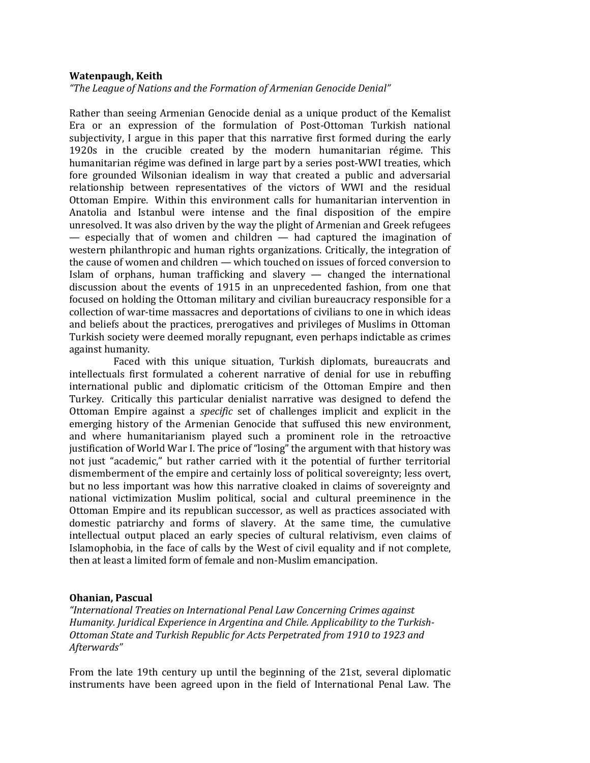#### **Watenpaugh, Keith**

*"The League of Nations and the Formation of Armenian Genocide Denial"*

Rather than seeing Armenian Genocide denial as a unique product of the Kemalist Era or an expression of the formulation of Post-Ottoman Turkish national subjectivity, I argue in this paper that this narrative first formed during the early 1920s in the crucible created by the modern humanitarian régime. This humanitarian régime was defined in large part by a series post-WWI treaties, which fore grounded Wilsonian idealism in way that created a public and adversarial relationship between representatives of the victors of WWI and the residual Ottoman Empire. Within this environment calls for humanitarian intervention in Anatolia and Istanbul were intense and the final disposition of the empire unresolved. It was also driven by the way the plight of Armenian and Greek refugees — especially that of women and children — had captured the imagination of western philanthropic and human rights organizations. Critically, the integration of the cause of women and children — which touched on issues of forced conversion to Islam of orphans, human trafficking and slavery — changed the international discussion about the events of 1915 in an unprecedented fashion, from one that focused on holding the Ottoman military and civilian bureaucracy responsible for a collection of war-time massacres and deportations of civilians to one in which ideas and beliefs about the practices, prerogatives and privileges of Muslims in Ottoman Turkish society were deemed morally repugnant, even perhaps indictable as crimes against humanity.

Faced with this unique situation, Turkish diplomats, bureaucrats and intellectuals first formulated a coherent narrative of denial for use in rebuffing international public and diplomatic criticism of the Ottoman Empire and then Turkey. Critically this particular denialist narrative was designed to defend the Ottoman Empire against a *specific* set of challenges implicit and explicit in the emerging history of the Armenian Genocide that suffused this new environment, and where humanitarianism played such a prominent role in the retroactive justification of World War I. The price of "losing" the argument with that history was not just "academic," but rather carried with it the potential of further territorial dismemberment of the empire and certainly loss of political sovereignty; less overt, but no less important was how this narrative cloaked in claims of sovereignty and national victimization Muslim political, social and cultural preeminence in the Ottoman Empire and its republican successor, as well as practices associated with domestic patriarchy and forms of slavery. At the same time, the cumulative intellectual output placed an early species of cultural relativism, even claims of Islamophobia, in the face of calls by the West of civil equality and if not complete, then at least a limited form of female and non-Muslim emancipation.

#### **Ohanian, Pascual**

*"International Treaties on International Penal Law Concerning Crimes against Humanity. Juridical Experience in Argentina and Chile. Applicability to the Turkish-Ottoman State and Turkish Republic for Acts Perpetrated from 1910 to 1923 and Afterwards"*

From the late 19th century up until the beginning of the 21st, several diplomatic instruments have been agreed upon in the field of International Penal Law. The